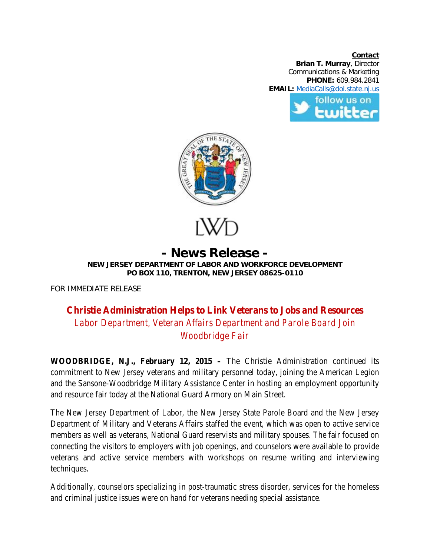**Contact Brian T. Murray**, Director Communications & Marketing **PHONE:** 609.984.2841 **EMAIL:** [MediaCalls@dol.state.nj.us](mailto:MediaCalls@dol.state.nj.us) follow us on





## **- News Release - NEW JERSEY DEPARTMENT OF LABOR AND WORKFORCE DEVELOPMENT PO BOX 110, TRENTON, NEW JERSEY 08625-0110**

FOR IMMEDIATE RELEASE

## **Christie Administration Helps to Link Veterans to Jobs and Resources** *Labor Department, Veteran Affairs Department and Parole Board Join Woodbridge Fair*

**WOODBRIDGE, N.J., February 12, 2015 –** The Christie Administration continued its commitment to New Jersey veterans and military personnel today, joining the American Legion and the Sansone-Woodbridge Military Assistance Center in hosting an employment opportunity and resource fair today at the National Guard Armory on Main Street.

The New Jersey Department of Labor, the New Jersey State Parole Board and the New Jersey Department of Military and Veterans Affairs staffed the event, which was open to active service members as well as veterans, National Guard reservists and military spouses. The fair focused on connecting the visitors to employers with job openings, and counselors were available to provide veterans and active service members with workshops on resume writing and interviewing techniques.

Additionally, counselors specializing in post-traumatic stress disorder, services for the homeless and criminal justice issues were on hand for veterans needing special assistance.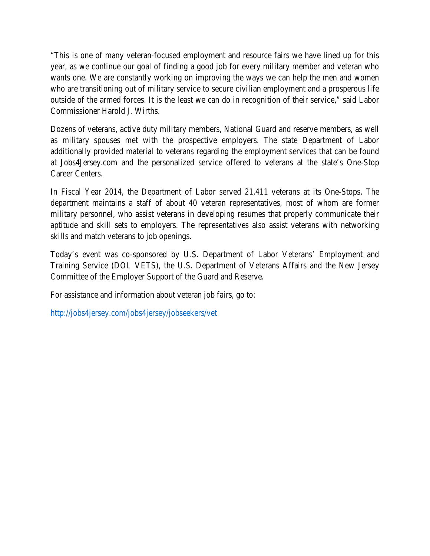"This is one of many veteran-focused employment and resource fairs we have lined up for this year, as we continue our goal of finding a good job for every military member and veteran who wants one. We are constantly working on improving the ways we can help the men and women who are transitioning out of military service to secure civilian employment and a prosperous life outside of the armed forces. It is the least we can do in recognition of their service," said Labor Commissioner Harold J. Wirths.

Dozens of veterans, active duty military members, National Guard and reserve members, as well as military spouses met with the prospective employers. The state Department of Labor additionally provided material to veterans regarding the employment services that can be found at Jobs4Jersey.com and the personalized service offered to veterans at the state's One-Stop Career Centers.

In Fiscal Year 2014, the Department of Labor served 21,411 veterans at its One-Stops. The department maintains a staff of about 40 veteran representatives, most of whom are former military personnel, who assist veterans in developing resumes that properly communicate their aptitude and skill sets to employers. The representatives also assist veterans with networking skills and match veterans to job openings.

Today's event was co-sponsored by U.S. Department of Labor Veterans' Employment and Training Service (DOL VETS), the U.S. Department of Veterans Affairs and the New Jersey Committee of the Employer Support of the Guard and Reserve.

For assistance and information about veteran job fairs, go to:

<http://jobs4jersey.com/jobs4jersey/jobseekers/vet>